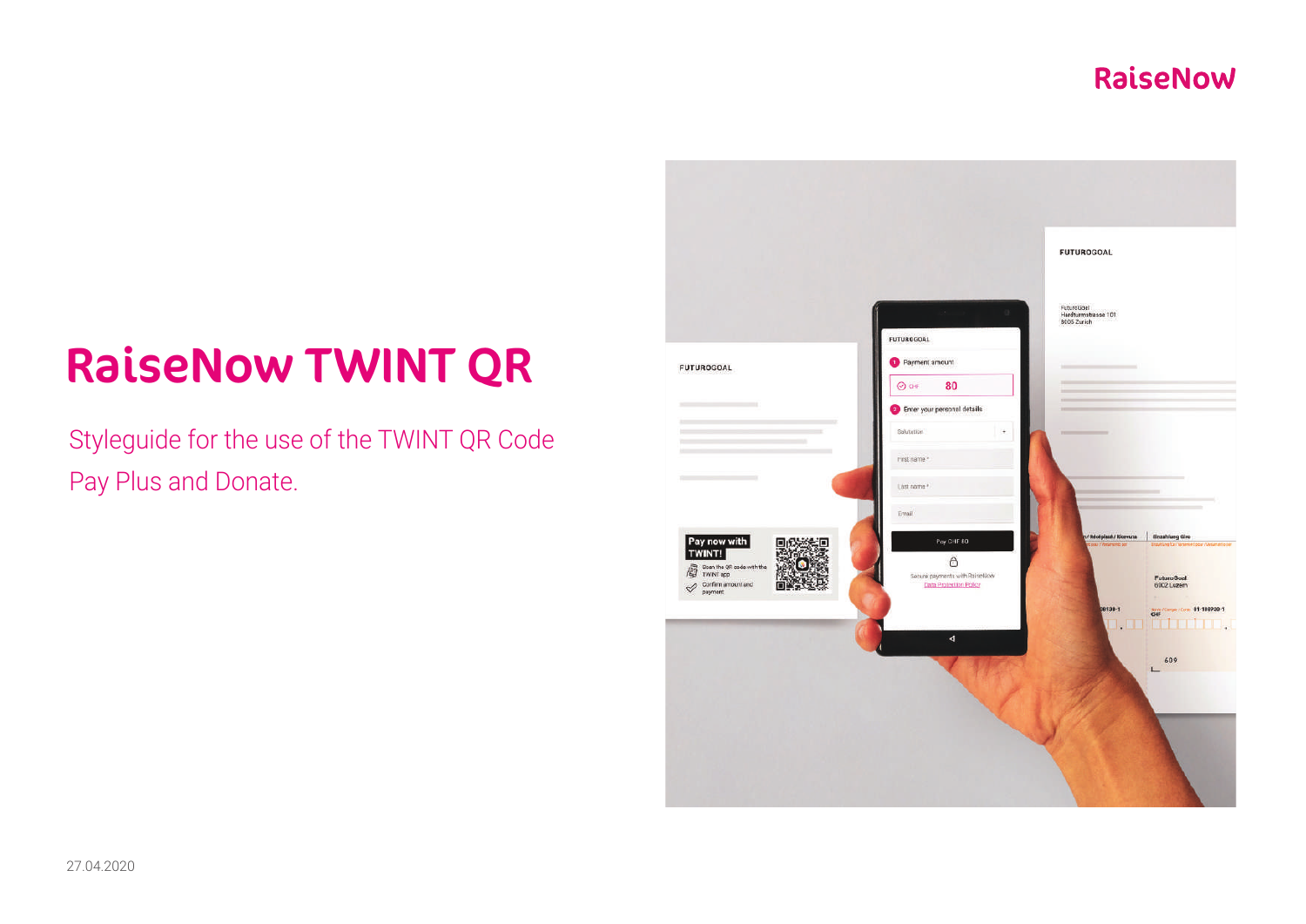# RaiseNow TWINT QR

Styleguide for the use of the TWINT QR Code Pay Plus and Donate.

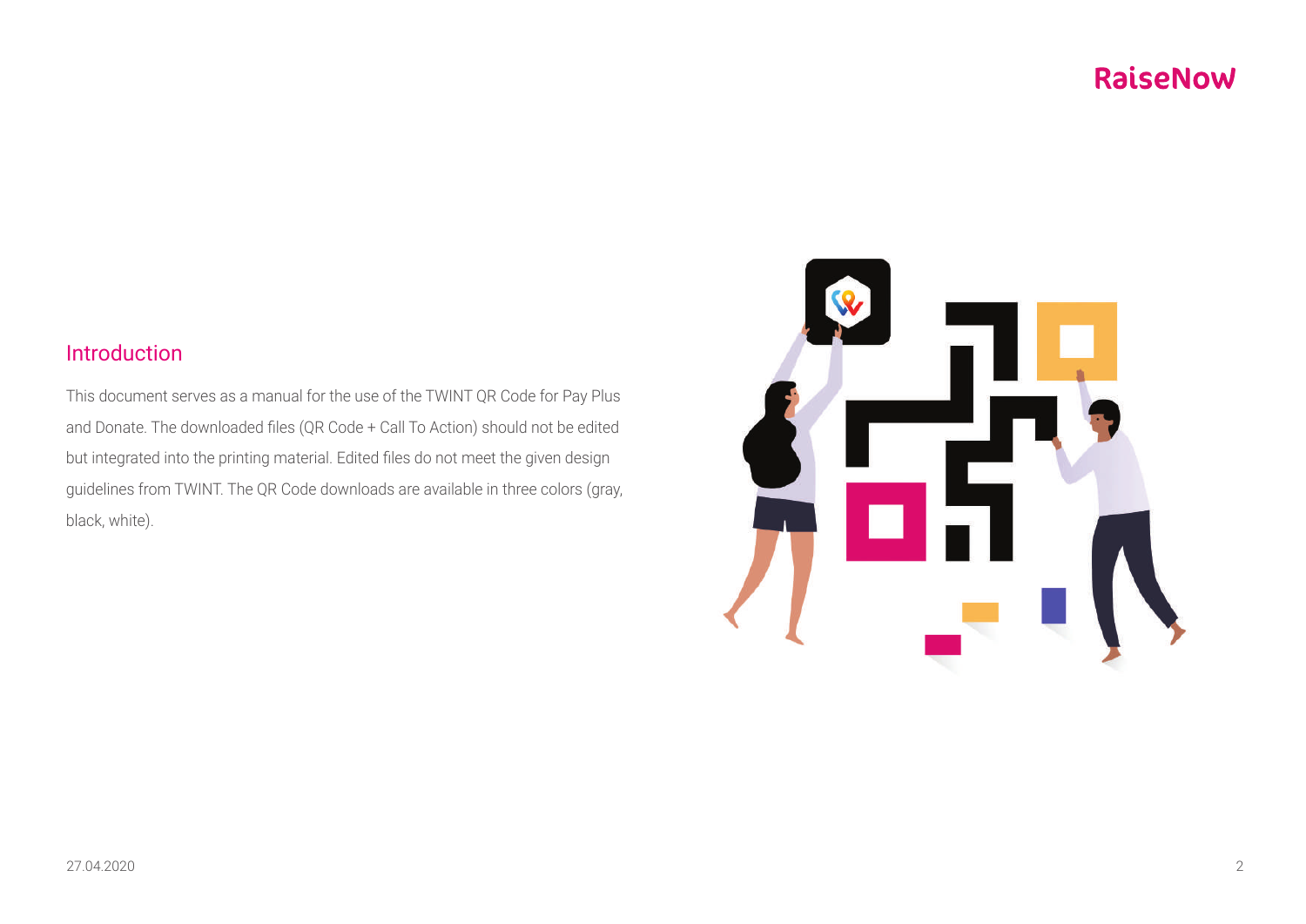### Introduction

This document serves as a manual for the use of the TWINT QR Code for Pay Plus and Donate. The downloaded files (QR Code + Call To Action) should not be edited but integrated into the printing material. Edited files do not meet the given design guidelines from TWINT. The QR Code downloads are available in three colors (gray, black, white).

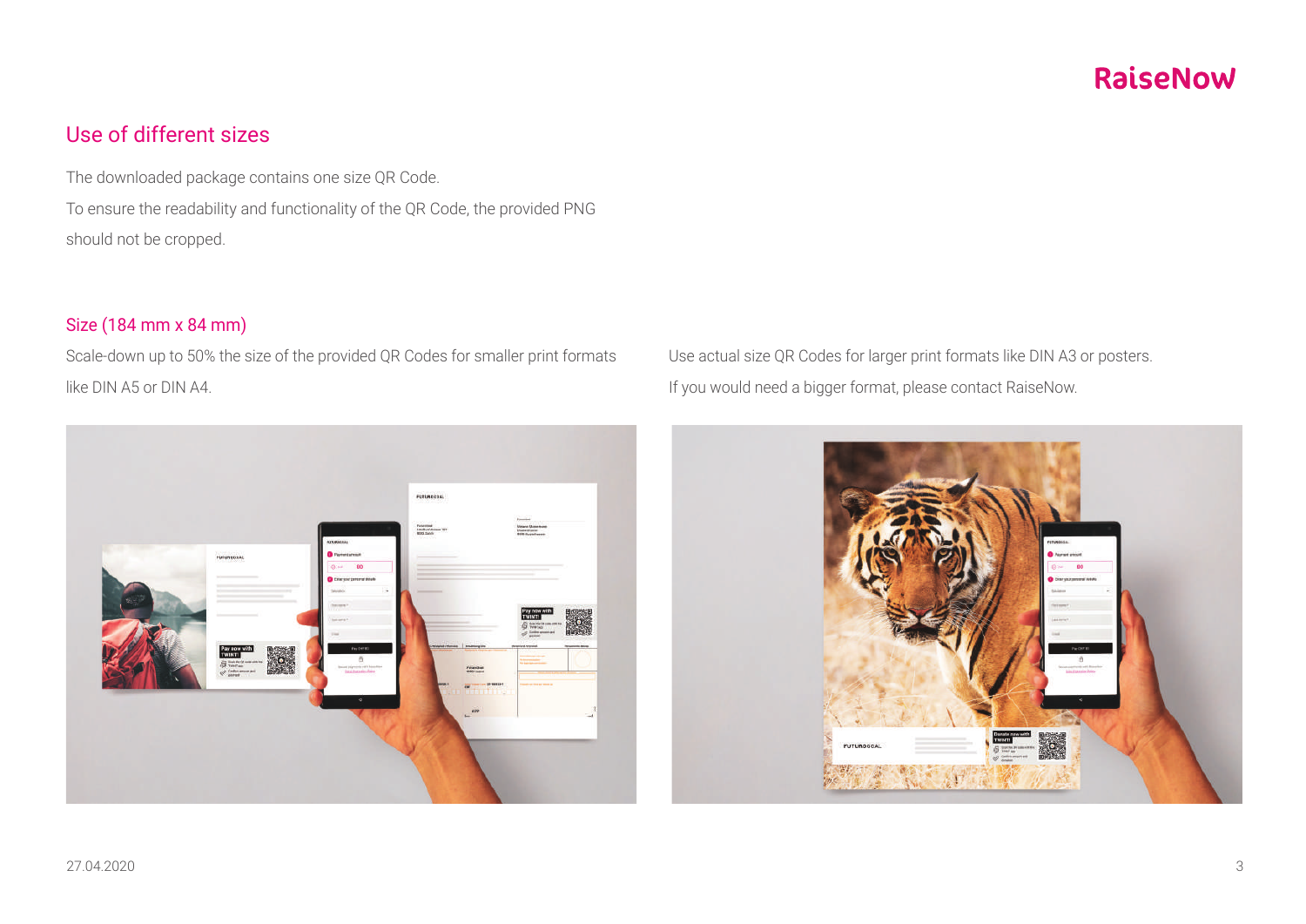### Use of different sizes

The downloaded package contains one size QR Code. To ensure the readability and functionality of the QR Code, the provided PNG should not be cropped.

#### Size (184 mm x 84 mm)

Scale-down up to 50% the size of the provided QR Codes for smaller print formats like DIN A5 or DIN A4.



Use actual size QR Codes for larger print formats like DIN A3 or posters. If you would need a bigger format, please contact RaiseNow.

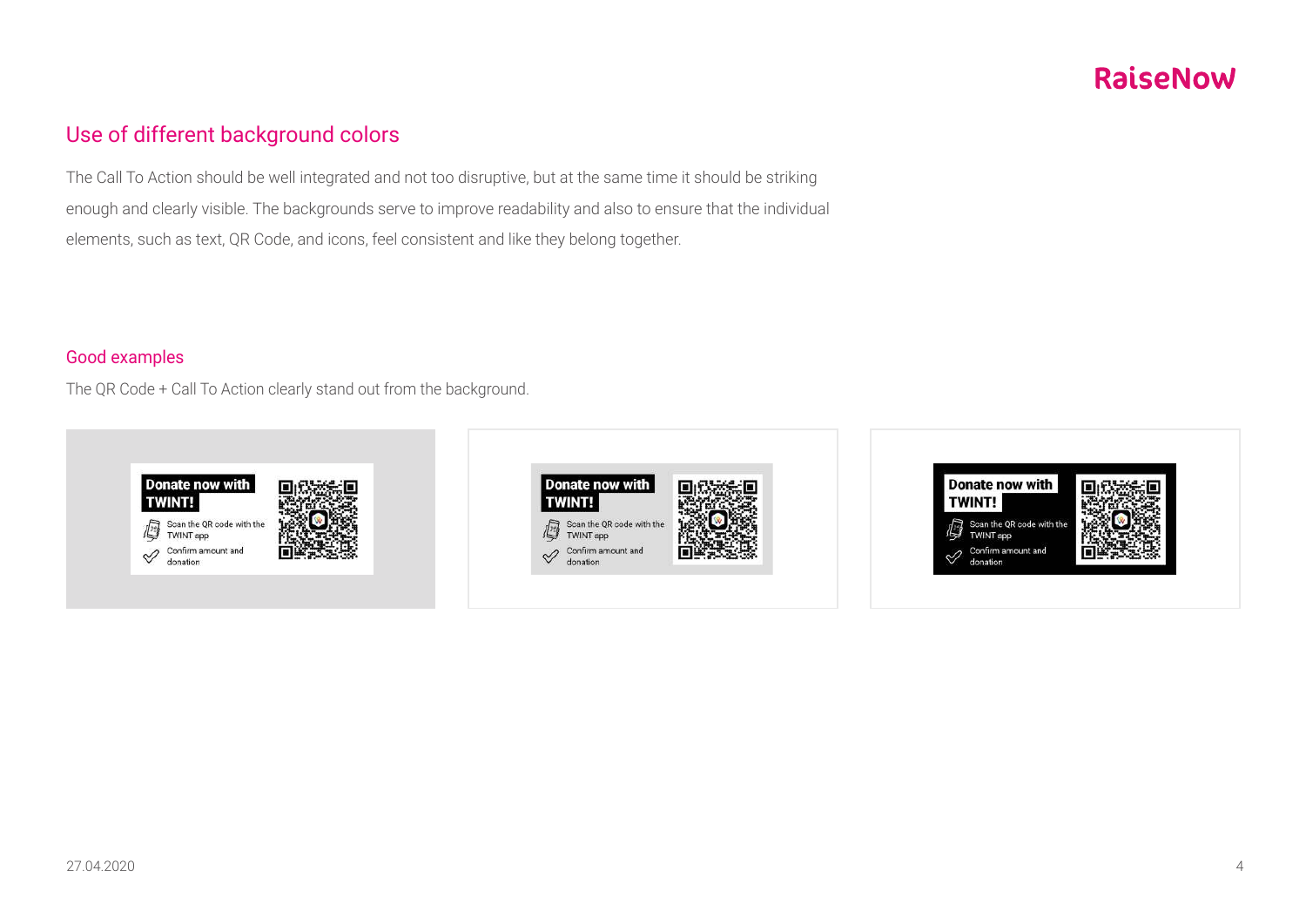### Use of different background colors

The Call To Action should be well integrated and not too disruptive, but at the same time it should be striking enough and clearly visible. The backgrounds serve to improve readability and also to ensure that the individual elements, such as text, QR Code, and icons, feel consistent and like they belong together.

#### Good examples

The QR Code + Call To Action clearly stand out from the background.





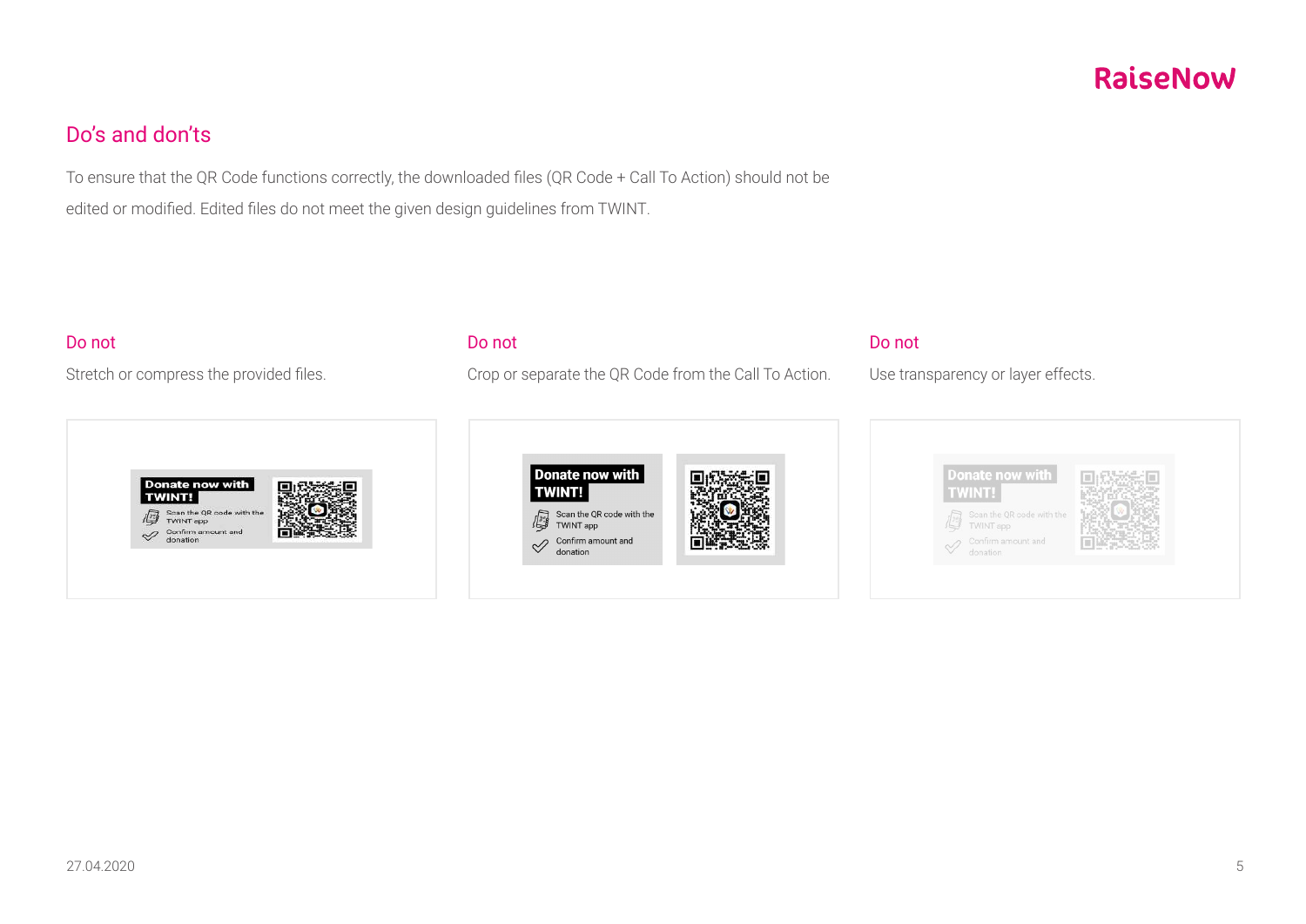### Do's and don'ts

To ensure that the QR Code functions correctly, the downloaded files (QR Code + Call To Action) should not be edited or modified. Edited files do not meet the given design guidelines from TWINT.

#### Do not

Stretch or compress the provided files.



#### Do not

Crop or separate the QR Code from the Call To Action.



#### Do not

Use transparency or layer effects.